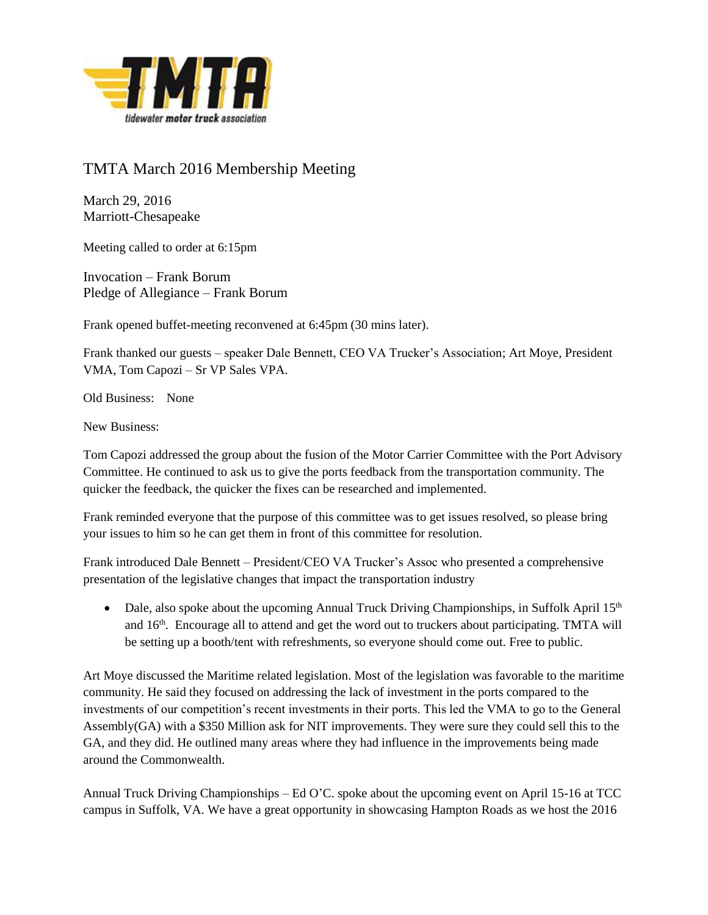

## TMTA March 2016 Membership Meeting

March 29, 2016 Marriott-Chesapeake

Meeting called to order at 6:15pm

Invocation – Frank Borum Pledge of Allegiance – Frank Borum

Frank opened buffet-meeting reconvened at 6:45pm (30 mins later).

Frank thanked our guests – speaker Dale Bennett, CEO VA Trucker's Association; Art Moye, President VMA, Tom Capozi – Sr VP Sales VPA.

Old Business: None

New Business:

Tom Capozi addressed the group about the fusion of the Motor Carrier Committee with the Port Advisory Committee. He continued to ask us to give the ports feedback from the transportation community. The quicker the feedback, the quicker the fixes can be researched and implemented.

Frank reminded everyone that the purpose of this committee was to get issues resolved, so please bring your issues to him so he can get them in front of this committee for resolution.

Frank introduced Dale Bennett – President/CEO VA Trucker's Assoc who presented a comprehensive presentation of the legislative changes that impact the transportation industry

• Dale, also spoke about the upcoming Annual Truck Driving Championships, in Suffolk April  $15<sup>th</sup>$ and 16<sup>th</sup>. Encourage all to attend and get the word out to truckers about participating. TMTA will be setting up a booth/tent with refreshments, so everyone should come out. Free to public.

Art Moye discussed the Maritime related legislation. Most of the legislation was favorable to the maritime community. He said they focused on addressing the lack of investment in the ports compared to the investments of our competition's recent investments in their ports. This led the VMA to go to the General Assembly(GA) with a \$350 Million ask for NIT improvements. They were sure they could sell this to the GA, and they did. He outlined many areas where they had influence in the improvements being made around the Commonwealth.

Annual Truck Driving Championships – Ed O'C. spoke about the upcoming event on April 15-16 at TCC campus in Suffolk, VA. We have a great opportunity in showcasing Hampton Roads as we host the 2016